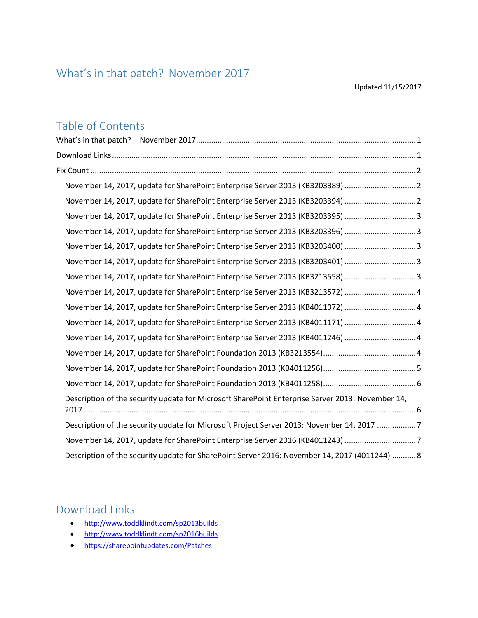# <span id="page-0-0"></span>What's in that patch? November 2017

## Table of Contents

| What's in that patch? |                                                                                                  |
|-----------------------|--------------------------------------------------------------------------------------------------|
|                       |                                                                                                  |
|                       |                                                                                                  |
|                       | November 14, 2017, update for SharePoint Enterprise Server 2013 (KB3203389) 2                    |
|                       | November 14, 2017, update for SharePoint Enterprise Server 2013 (KB3203394)  2                   |
|                       | November 14, 2017, update for SharePoint Enterprise Server 2013 (KB3203395) 3                    |
|                       | November 14, 2017, update for SharePoint Enterprise Server 2013 (KB3203396) 3                    |
|                       | November 14, 2017, update for SharePoint Enterprise Server 2013 (KB3203400) 3                    |
|                       | November 14, 2017, update for SharePoint Enterprise Server 2013 (KB3203401) 3                    |
|                       | November 14, 2017, update for SharePoint Enterprise Server 2013 (KB3213558) 3                    |
|                       | November 14, 2017, update for SharePoint Enterprise Server 2013 (KB3213572)  4                   |
|                       | November 14, 2017, update for SharePoint Enterprise Server 2013 (KB4011072) 4                    |
|                       | November 14, 2017, update for SharePoint Enterprise Server 2013 (KB4011171)  4                   |
|                       | November 14, 2017, update for SharePoint Enterprise Server 2013 (KB4011246)  4                   |
|                       |                                                                                                  |
|                       |                                                                                                  |
|                       |                                                                                                  |
|                       | Description of the security update for Microsoft SharePoint Enterprise Server 2013: November 14, |
|                       | Description of the security update for Microsoft Project Server 2013: November 14, 2017 7        |
|                       | November 14, 2017, update for SharePoint Enterprise Server 2016 (KB4011243) 7                    |
|                       | Description of the security update for SharePoint Server 2016: November 14, 2017 (4011244)  8    |

# <span id="page-0-1"></span>Download Links

- <http://www.toddklindt.com/sp2013builds>
- <http://www.toddklindt.com/sp2016builds>
- <https://sharepointupdates.com/Patches>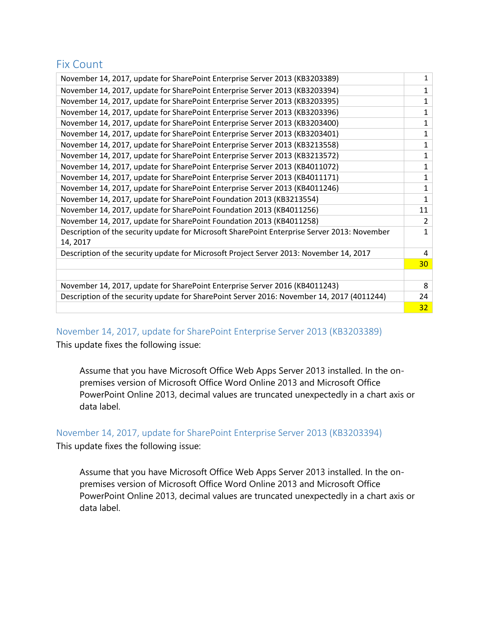### <span id="page-1-0"></span>Fix Count

| November 14, 2017, update for SharePoint Enterprise Server 2013 (KB3203389)                  |                 |  |
|----------------------------------------------------------------------------------------------|-----------------|--|
| November 14, 2017, update for SharePoint Enterprise Server 2013 (KB3203394)                  |                 |  |
| November 14, 2017, update for SharePoint Enterprise Server 2013 (KB3203395)                  |                 |  |
| November 14, 2017, update for SharePoint Enterprise Server 2013 (KB3203396)                  |                 |  |
| November 14, 2017, update for SharePoint Enterprise Server 2013 (KB3203400)                  |                 |  |
| November 14, 2017, update for SharePoint Enterprise Server 2013 (KB3203401)                  |                 |  |
| November 14, 2017, update for SharePoint Enterprise Server 2013 (KB3213558)                  | 1               |  |
| November 14, 2017, update for SharePoint Enterprise Server 2013 (KB3213572)                  | 1               |  |
| November 14, 2017, update for SharePoint Enterprise Server 2013 (KB4011072)                  | $\mathbf{1}$    |  |
| November 14, 2017, update for SharePoint Enterprise Server 2013 (KB4011171)                  |                 |  |
| November 14, 2017, update for SharePoint Enterprise Server 2013 (KB4011246)                  |                 |  |
| November 14, 2017, update for SharePoint Foundation 2013 (KB3213554)                         |                 |  |
| November 14, 2017, update for SharePoint Foundation 2013 (KB4011256)                         |                 |  |
| November 14, 2017, update for SharePoint Foundation 2013 (KB4011258)                         |                 |  |
| Description of the security update for Microsoft SharePoint Enterprise Server 2013: November |                 |  |
| 14, 2017                                                                                     |                 |  |
| Description of the security update for Microsoft Project Server 2013: November 14, 2017      |                 |  |
|                                                                                              | 30 <sup>°</sup> |  |
|                                                                                              | 8               |  |
| November 14, 2017, update for SharePoint Enterprise Server 2016 (KB4011243)                  |                 |  |
| Description of the security update for SharePoint Server 2016: November 14, 2017 (4011244)   |                 |  |
|                                                                                              | 32              |  |

<span id="page-1-1"></span>November 14, 2017, update for SharePoint Enterprise Server 2013 (KB3203389)

This update fixes the following issue:

Assume that you have Microsoft Office Web Apps Server 2013 installed. In the onpremises version of Microsoft Office Word Online 2013 and Microsoft Office PowerPoint Online 2013, decimal values are truncated unexpectedly in a chart axis or data label.

<span id="page-1-2"></span>November 14, 2017, update for SharePoint Enterprise Server 2013 (KB3203394)

This update fixes the following issue:

Assume that you have Microsoft Office Web Apps Server 2013 installed. In the onpremises version of Microsoft Office Word Online 2013 and Microsoft Office PowerPoint Online 2013, decimal values are truncated unexpectedly in a chart axis or data label.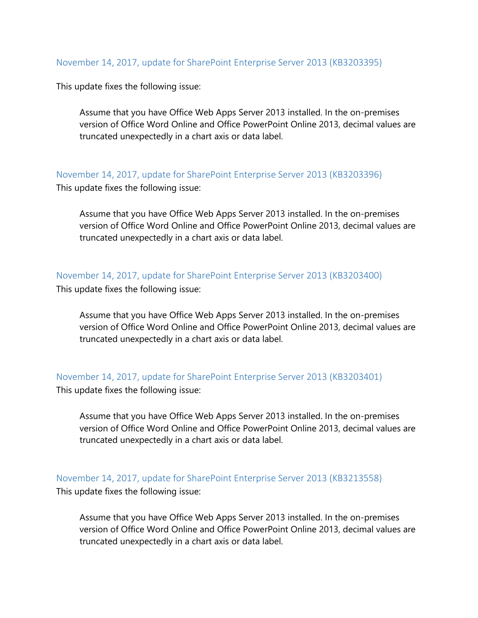#### <span id="page-2-0"></span>November 14, 2017, update for SharePoint Enterprise Server 2013 (KB3203395)

This update fixes the following issue:

Assume that you have Office Web Apps Server 2013 installed. In the on-premises version of Office Word Online and Office PowerPoint Online 2013, decimal values are truncated unexpectedly in a chart axis or data label.

<span id="page-2-1"></span>November 14, 2017, update for SharePoint Enterprise Server 2013 (KB3203396)

This update fixes the following issue:

Assume that you have Office Web Apps Server 2013 installed. In the on-premises version of Office Word Online and Office PowerPoint Online 2013, decimal values are truncated unexpectedly in a chart axis or data label.

#### <span id="page-2-2"></span>November 14, 2017, update for SharePoint Enterprise Server 2013 (KB3203400)

This update fixes the following issue:

Assume that you have Office Web Apps Server 2013 installed. In the on-premises version of Office Word Online and Office PowerPoint Online 2013, decimal values are truncated unexpectedly in a chart axis or data label.

#### <span id="page-2-3"></span>November 14, 2017, update for SharePoint Enterprise Server 2013 (KB3203401)

This update fixes the following issue:

Assume that you have Office Web Apps Server 2013 installed. In the on-premises version of Office Word Online and Office PowerPoint Online 2013, decimal values are truncated unexpectedly in a chart axis or data label.

<span id="page-2-4"></span>November 14, 2017, update for SharePoint Enterprise Server 2013 (KB3213558) This update fixes the following issue:

Assume that you have Office Web Apps Server 2013 installed. In the on-premises version of Office Word Online and Office PowerPoint Online 2013, decimal values are truncated unexpectedly in a chart axis or data label.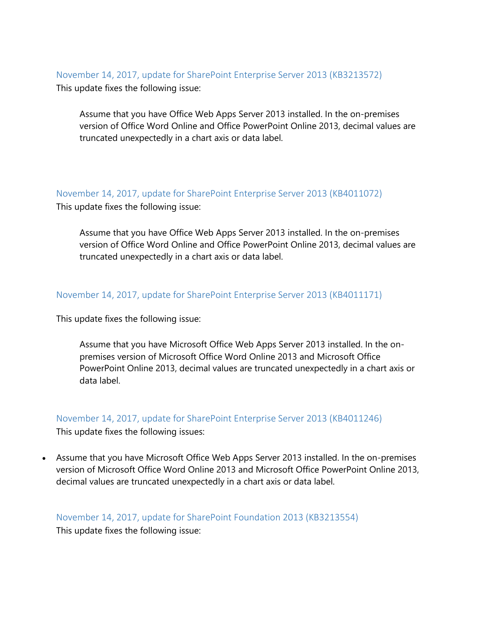<span id="page-3-0"></span>November 14, 2017, update for SharePoint Enterprise Server 2013 (KB3213572) This update fixes the following issue:

Assume that you have Office Web Apps Server 2013 installed. In the on-premises version of Office Word Online and Office PowerPoint Online 2013, decimal values are truncated unexpectedly in a chart axis or data label.

<span id="page-3-1"></span>November 14, 2017, update for SharePoint Enterprise Server 2013 (KB4011072) This update fixes the following issue:

Assume that you have Office Web Apps Server 2013 installed. In the on-premises version of Office Word Online and Office PowerPoint Online 2013, decimal values are truncated unexpectedly in a chart axis or data label.

<span id="page-3-2"></span>November 14, 2017, update for SharePoint Enterprise Server 2013 (KB4011171)

This update fixes the following issue:

Assume that you have Microsoft Office Web Apps Server 2013 installed. In the onpremises version of Microsoft Office Word Online 2013 and Microsoft Office PowerPoint Online 2013, decimal values are truncated unexpectedly in a chart axis or data label.

<span id="page-3-3"></span>November 14, 2017, update for SharePoint Enterprise Server 2013 (KB4011246)

This update fixes the following issues:

• Assume that you have Microsoft Office Web Apps Server 2013 installed. In the on-premises version of Microsoft Office Word Online 2013 and Microsoft Office PowerPoint Online 2013, decimal values are truncated unexpectedly in a chart axis or data label.

# <span id="page-3-4"></span>November 14, 2017, update for SharePoint Foundation 2013 (KB3213554)

This update fixes the following issue: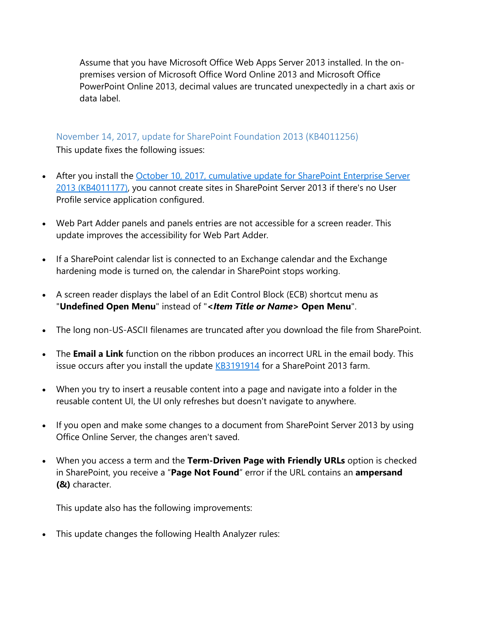Assume that you have Microsoft Office Web Apps Server 2013 installed. In the onpremises version of Microsoft Office Word Online 2013 and Microsoft Office PowerPoint Online 2013, decimal values are truncated unexpectedly in a chart axis or data label.

### <span id="page-4-0"></span>November 14, 2017, update for SharePoint Foundation 2013 (KB4011256)

This update fixes the following issues:

- After you install the October 10, 2017, cumulative update for SharePoint Enterprise Server [2013 \(KB4011177\),](https://support.microsoft.com/en-us/help/4011177) you cannot create sites in SharePoint Server 2013 if there's no User Profile service application configured.
- Web Part Adder panels and panels entries are not accessible for a screen reader. This update improves the accessibility for Web Part Adder.
- If a SharePoint calendar list is connected to an Exchange calendar and the Exchange hardening mode is turned on, the calendar in SharePoint stops working.
- A screen reader displays the label of an Edit Control Block (ECB) shortcut menu as "**Undefined Open Menu**" instead of "**<***Item Title or Name***> Open Menu**".
- The long non-US-ASCII filenames are truncated after you download the file from SharePoint.
- The **Email a Link** function on the ribbon produces an incorrect URL in the email body. This issue occurs after you install the update [KB3191914](https://support.microsoft.com/en-us/help/3191914) for a SharePoint 2013 farm.
- When you try to insert a reusable content into a page and navigate into a folder in the reusable content UI, the UI only refreshes but doesn't navigate to anywhere.
- If you open and make some changes to a document from SharePoint Server 2013 by using Office Online Server, the changes aren't saved.
- When you access a term and the **Term-Driven Page with Friendly URLs** option is checked in SharePoint, you receive a "**Page Not Found**" error if the URL contains an **ampersand (&)** character.

This update also has the following improvements:

• This update changes the following Health Analyzer rules: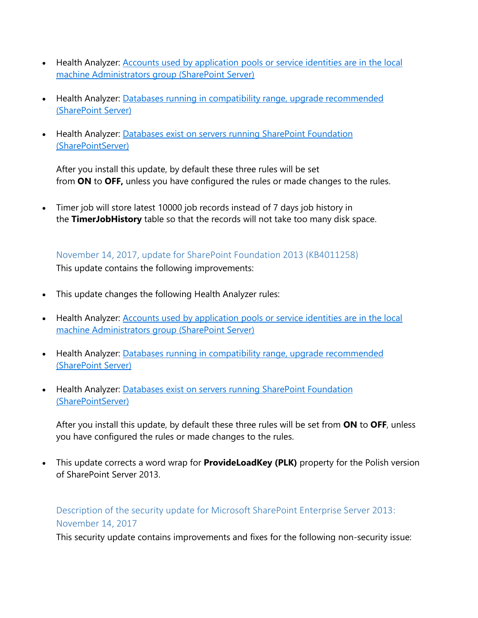- Health Analyzer: Accounts used by application pools or service identities are in the local [machine Administrators group \(SharePoint Server\)](https://technet.microsoft.com/en-us/library/hh344224(v=office.16).aspx)
- Health Analyzer: [Databases running in compatibility range, upgrade recommended](https://technet.microsoft.com/en-us/library/hh564132(v=office.16).aspx)  [\(SharePoint Server\)](https://technet.microsoft.com/en-us/library/hh564132(v=office.16).aspx)
- Health Analyzer: Databases exist on servers running SharePoint Foundation [\(SharePointServer\)](https://technet.microsoft.com/en-us/library/hh564124(v=office.16).aspx)

After you install this update, by default these three rules will be set from **ON** to **OFF,** unless you have configured the rules or made changes to the rules.

• Timer job will store latest 10000 job records instead of 7 days job history in the **TimerJobHistory** table so that the records will not take too many disk space.

<span id="page-5-0"></span>November 14, 2017, update for SharePoint Foundation 2013 (KB4011258) This update contains the following improvements:

- This update changes the following Health Analyzer rules:
- Health Analyzer: [Accounts used by application pools or service identities are in the local](https://technet.microsoft.com/en-us/library/hh344224(v=office.16).aspx)  [machine Administrators group \(SharePoint Server\)](https://technet.microsoft.com/en-us/library/hh344224(v=office.16).aspx)
- Health Analyzer: Databases running in compatibility range, upgrade recommended [\(SharePoint Server\)](https://technet.microsoft.com/en-us/library/hh564132(v=office.16).aspx)
- Health Analyzer: Databases exist on servers running SharePoint Foundation [\(SharePointServer\)](https://technet.microsoft.com/en-us/library/hh564124(v=office.16).aspx)

After you install this update, by default these three rules will be set from **ON** to **OFF**, unless you have configured the rules or made changes to the rules.

• This update corrects a word wrap for **ProvideLoadKey (PLK)** property for the Polish version of SharePoint Server 2013.

<span id="page-5-1"></span>Description of the security update for Microsoft SharePoint Enterprise Server 2013: November 14, 2017

This security update contains improvements and fixes for the following non-security issue: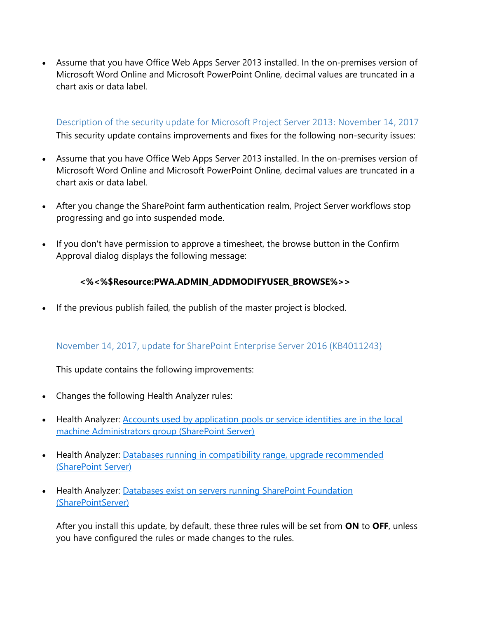• Assume that you have Office Web Apps Server 2013 installed. In the on-premises version of Microsoft Word Online and Microsoft PowerPoint Online, decimal values are truncated in a chart axis or data label.

<span id="page-6-0"></span>Description of the security update for Microsoft Project Server 2013: November 14, 2017 This security update contains improvements and fixes for the following non-security issues:

- Assume that you have Office Web Apps Server 2013 installed. In the on-premises version of Microsoft Word Online and Microsoft PowerPoint Online, decimal values are truncated in a chart axis or data label.
- After you change the SharePoint farm authentication realm, Project Server workflows stop progressing and go into suspended mode.
- If you don't have permission to approve a timesheet, the browse button in the Confirm Approval dialog displays the following message:

### **<%<%\$Resource:PWA.ADMIN\_ADDMODIFYUSER\_BROWSE%>>**

• If the previous publish failed, the publish of the master project is blocked.

### <span id="page-6-1"></span>November 14, 2017, update for SharePoint Enterprise Server 2016 (KB4011243)

This update contains the following improvements:

- Changes the following Health Analyzer rules:
- Health Analyzer: [Accounts used by application pools or service identities are in the local](https://technet.microsoft.com/en-us/library/hh344224(v=office.16).aspx)  [machine Administrators group \(SharePoint Server\)](https://technet.microsoft.com/en-us/library/hh344224(v=office.16).aspx)
- Health Analyzer: Databases running in compatibility range, upgrade recommended [\(SharePoint Server\)](https://technet.microsoft.com/en-us/library/hh564132(v=office.16).aspx)
- Health Analyzer: Databases exist on servers running SharePoint Foundation [\(SharePointServer\)](https://technet.microsoft.com/en-us/library/hh564124(v=office.16).aspx)

After you install this update, by default, these three rules will be set from **ON** to **OFF**, unless you have configured the rules or made changes to the rules.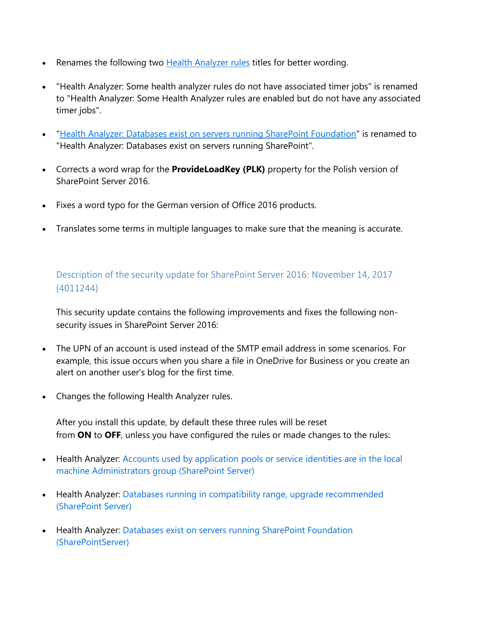- Renames the following two **[Health Analyzer rules](https://technet.microsoft.com/en-us/library/ff686816(v=office.16).aspx) titles for better wording.**
- "Health Analyzer: Some health analyzer rules do not have associated timer jobs" is renamed to "Health Analyzer: Some Health Analyzer rules are enabled but do not have any associated timer jobs".
- ["Health Analyzer: Databases exist on servers running SharePoint Foundation"](https://technet.microsoft.com/en-us/library/hh564124(v=office.16).aspx) is renamed to "Health Analyzer: Databases exist on servers running SharePoint".
- Corrects a word wrap for the **ProvideLoadKey (PLK)** property for the Polish version of SharePoint Server 2016.
- Fixes a word typo for the German version of Office 2016 products.
- Translates some terms in multiple languages to make sure that the meaning is accurate.

### <span id="page-7-0"></span>Description of the security update for SharePoint Server 2016: November 14, 2017 (4011244)

This security update contains the following improvements and fixes the following nonsecurity issues in SharePoint Server 2016:

- The UPN of an account is used instead of the SMTP email address in some scenarios. For example, this issue occurs when you share a file in OneDrive for Business or you create an alert on another user's blog for the first time.
- Changes the following Health Analyzer rules.

After you install this update, by default these three rules will be reset from **ON** to **OFF**, unless you have configured the rules or made changes to the rules:

- Health Analyzer: Accounts used by application pools or service identities are in the local [machine Administrators group \(SharePoint Server\)](https://technet.microsoft.com/en-us/library/hh344224(v=office.16).aspx)
- Health Analyzer: [Databases running in compatibility range, upgrade recommended](https://technet.microsoft.com/en-us/library/hh564132(v=office.16).aspx)  [\(SharePoint Server\)](https://technet.microsoft.com/en-us/library/hh564132(v=office.16).aspx)
- Health Analyzer: Databases exist on servers running SharePoint Foundation [\(SharePointServer\)](https://technet.microsoft.com/en-us/library/hh564124(v=office.16).aspx)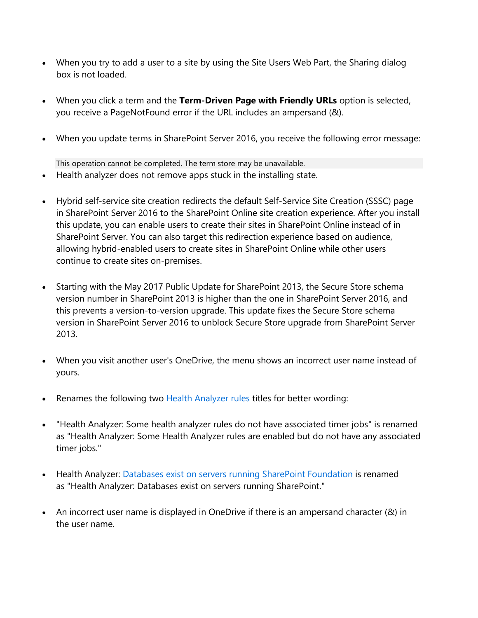- When you try to add a user to a site by using the Site Users Web Part, the Sharing dialog box is not loaded.
- When you click a term and the **Term-Driven Page with Friendly URLs** option is selected, you receive a PageNotFound error if the URL includes an ampersand (&).
- When you update terms in SharePoint Server 2016, you receive the following error message:

This operation cannot be completed. The term store may be unavailable.

- Health analyzer does not remove apps stuck in the installing state.
- Hybrid self-service site creation redirects the default Self-Service Site Creation (SSSC) page in SharePoint Server 2016 to the SharePoint Online site creation experience. After you install this update, you can enable users to create their sites in SharePoint Online instead of in SharePoint Server. You can also target this redirection experience based on audience, allowing hybrid-enabled users to create sites in SharePoint Online while other users continue to create sites on-premises.
- Starting with the May 2017 Public Update for SharePoint 2013, the Secure Store schema version number in SharePoint 2013 is higher than the one in SharePoint Server 2016, and this prevents a version-to-version upgrade. This update fixes the Secure Store schema version in SharePoint Server 2016 to unblock Secure Store upgrade from SharePoint Server 2013.
- When you visit another user's OneDrive, the menu shows an incorrect user name instead of yours.
- Renames the following two [Health Analyzer rules](https://technet.microsoft.com/en-us/library/ff686816(v=office.16).aspx) titles for better wording:
- "Health Analyzer: Some health analyzer rules do not have associated timer jobs" is renamed as "Health Analyzer: Some Health Analyzer rules are enabled but do not have any associated timer jobs."
- Health Analyzer: [Databases exist on servers running SharePoint Foundation](https://technet.microsoft.com/en-us/library/hh564124(v=office.16).aspx) is renamed as "Health Analyzer: Databases exist on servers running SharePoint."
- An incorrect user name is displayed in OneDrive if there is an ampersand character (&) in the user name.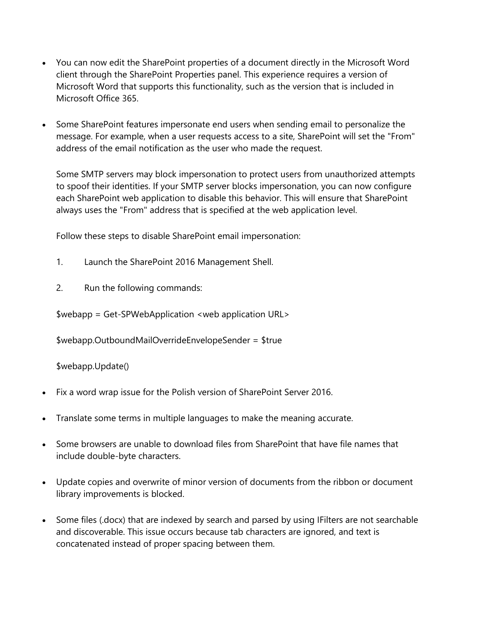- You can now edit the SharePoint properties of a document directly in the Microsoft Word client through the SharePoint Properties panel. This experience requires a version of Microsoft Word that supports this functionality, such as the version that is included in Microsoft Office 365.
- Some SharePoint features impersonate end users when sending email to personalize the message. For example, when a user requests access to a site, SharePoint will set the "From" address of the email notification as the user who made the request.

Some SMTP servers may block impersonation to protect users from unauthorized attempts to spoof their identities. If your SMTP server blocks impersonation, you can now configure each SharePoint web application to disable this behavior. This will ensure that SharePoint always uses the "From" address that is specified at the web application level.

Follow these steps to disable SharePoint email impersonation:

- 1. Launch the SharePoint 2016 Management Shell.
- 2. Run the following commands:

\$webapp = Get-SPWebApplication <web application URL>

\$webapp.OutboundMailOverrideEnvelopeSender = \$true

\$webapp.Update()

- Fix a word wrap issue for the Polish version of SharePoint Server 2016.
- Translate some terms in multiple languages to make the meaning accurate.
- Some browsers are unable to download files from SharePoint that have file names that include double-byte characters.
- Update copies and overwrite of minor version of documents from the ribbon or document library improvements is blocked.
- Some files (.docx) that are indexed by search and parsed by using IFilters are not searchable and discoverable. This issue occurs because tab characters are ignored, and text is concatenated instead of proper spacing between them.